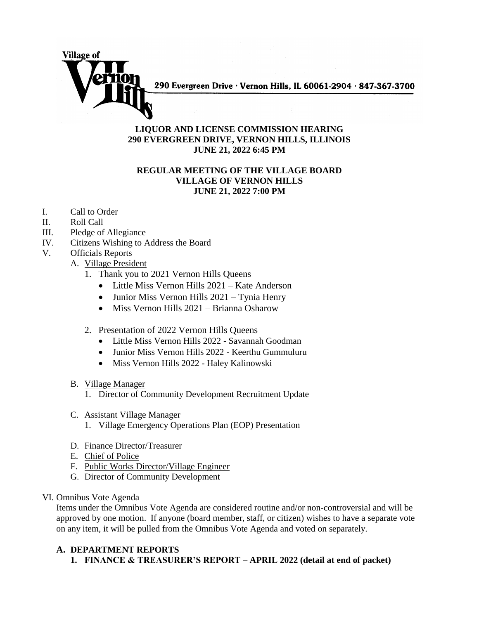

290 Evergreen Drive · Vernon Hills, IL 60061-2904 · 847-367-3700

## **LIQUOR AND LICENSE COMMISSION HEARING 290 EVERGREEN DRIVE, VERNON HILLS, ILLINOIS JUNE 21, 2022 6:45 PM**

## **REGULAR MEETING OF THE VILLAGE BOARD VILLAGE OF VERNON HILLS JUNE 21, 2022 7:00 PM**

- I. Call to Order
- II. Roll Call
- III. Pledge of Allegiance
- IV. Citizens Wishing to Address the Board
- V. Officials Reports
	- A. Village President
		- 1. Thank you to 2021 Vernon Hills Queens
			- Little Miss Vernon Hills 2021 Kate Anderson
			- Junior Miss Vernon Hills 2021 Tynia Henry
			- Miss Vernon Hills 2021 Brianna Osharow
		- 2. Presentation of 2022 Vernon Hills Queens
			- Little Miss Vernon Hills 2022 Savannah Goodman
			- Junior Miss Vernon Hills 2022 Keerthu Gummuluru
			- Miss Vernon Hills 2022 Haley Kalinowski
	- B. Village Manager
		- 1. Director of Community Development Recruitment Update
	- C. Assistant Village Manager
		- 1. Village Emergency Operations Plan (EOP) Presentation
	- D. Finance Director/Treasurer
	- E. Chief of Police
	- F. Public Works Director/Village Engineer
	- G. Director of Community Development
- VI. Omnibus Vote Agenda

Items under the Omnibus Vote Agenda are considered routine and/or non-controversial and will be approved by one motion. If anyone (board member, staff, or citizen) wishes to have a separate vote on any item, it will be pulled from the Omnibus Vote Agenda and voted on separately.

## **A. DEPARTMENT REPORTS**

**1. FINANCE & TREASURER'S REPORT – APRIL 2022 (detail at end of packet)**